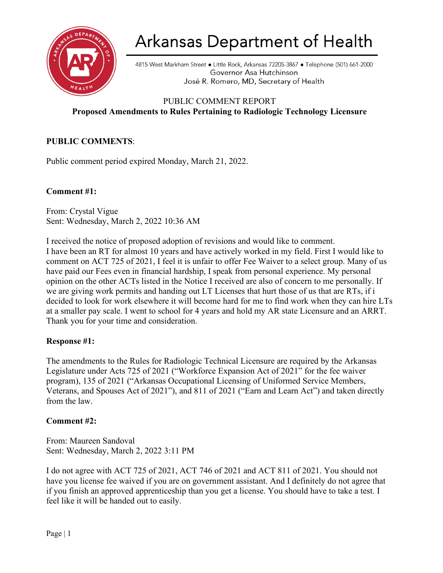

# Arkansas Department of Health

4815 West Markham Street . Little Rock, Arkansas 72205-3867 . Telephone (501) 661-2000 Governor Asa Hutchinson José R. Romero, MD, Secretary of Health

## PUBLIC COMMENT REPORT **Proposed Amendments to Rules Pertaining to Radiologic Technology Licensure**

### **PUBLIC COMMENTS**:

Public comment period expired Monday, March 21, 2022.

#### **Comment #1:**

From: Crystal Vigue Sent: Wednesday, March 2, 2022 10:36 AM

I received the notice of proposed adoption of revisions and would like to comment. I have been an RT for almost 10 years and have actively worked in my field. First I would like to comment on ACT 725 of 2021, I feel it is unfair to offer Fee Waiver to a select group. Many of us have paid our Fees even in financial hardship, I speak from personal experience. My personal opinion on the other ACTs listed in the Notice I received are also of concern to me personally. If we are giving work permits and handing out LT Licenses that hurt those of us that are RTs, if i decided to look for work elsewhere it will become hard for me to find work when they can hire LTs at a smaller pay scale. I went to school for 4 years and hold my AR state Licensure and an ARRT. Thank you for your time and consideration.

### **Response #1:**

The amendments to the Rules for Radiologic Technical Licensure are required by the Arkansas Legislature under Acts 725 of 2021 ("Workforce Expansion Act of 2021" for the fee waiver program), 135 of 2021 ("Arkansas Occupational Licensing of Uniformed Service Members, Veterans, and Spouses Act of 2021"), and 811 of 2021 ("Earn and Learn Act") and taken directly from the law.

#### **Comment #2:**

From: Maureen Sandoval Sent: Wednesday, March 2, 2022 3:11 PM

I do not agree with ACT 725 of 2021, ACT 746 of 2021 and ACT 811 of 2021. You should not have you license fee waived if you are on government assistant. And I definitely do not agree that if you finish an approved apprenticeship than you get a license. You should have to take a test. I feel like it will be handed out to easily.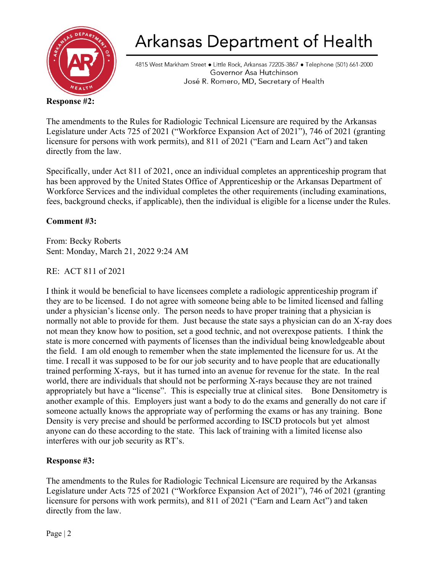

# Arkansas Department of Health

4815 West Markham Street . Little Rock, Arkansas 72205-3867 . Telephone (501) 661-2000 Governor Asa Hutchinson José R. Romero, MD, Secretary of Health

### **Response #2:**

The amendments to the Rules for Radiologic Technical Licensure are required by the Arkansas Legislature under Acts 725 of 2021 ("Workforce Expansion Act of 2021"), 746 of 2021 (granting licensure for persons with work permits), and 811 of 2021 ("Earn and Learn Act") and taken directly from the law.

Specifically, under Act 811 of 2021, once an individual completes an apprenticeship program that has been approved by the United States Office of Apprenticeship or the Arkansas Department of Workforce Services and the individual completes the other requirements (including examinations, fees, background checks, if applicable), then the individual is eligible for a license under the Rules.

## **Comment #3:**

From: Becky Roberts Sent: Monday, March 21, 2022 9:24 AM

### RE: ACT 811 of 2021

I think it would be beneficial to have licensees complete a radiologic apprenticeship program if they are to be licensed. I do not agree with someone being able to be limited licensed and falling under a physician's license only. The person needs to have proper training that a physician is normally not able to provide for them. Just because the state says a physician can do an X-ray does not mean they know how to position, set a good technic, and not overexpose patients. I think the state is more concerned with payments of licenses than the individual being knowledgeable about the field. I am old enough to remember when the state implemented the licensure for us. At the time. I recall it was supposed to be for our job security and to have people that are educationally trained performing X-rays, but it has turned into an avenue for revenue for the state. In the real world, there are individuals that should not be performing X-rays because they are not trained appropriately but have a "license". This is especially true at clinical sites. Bone Densitometry is another example of this. Employers just want a body to do the exams and generally do not care if someone actually knows the appropriate way of performing the exams or has any training. Bone Density is very precise and should be performed according to ISCD protocols but yet almost anyone can do these according to the state. This lack of training with a limited license also interferes with our job security as RT's.

## **Response #3:**

The amendments to the Rules for Radiologic Technical Licensure are required by the Arkansas Legislature under Acts 725 of 2021 ("Workforce Expansion Act of 2021"), 746 of 2021 (granting licensure for persons with work permits), and 811 of 2021 ("Earn and Learn Act") and taken directly from the law.